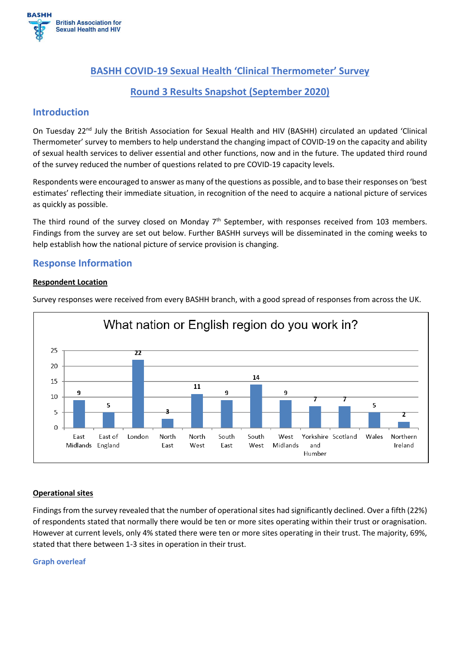

# **BASHH COVID-19 Sexual Health 'Clinical Thermometer' Survey**

# **Round 3 Results Snapshot (September 2020)**

# **Introduction**

On Tuesday 22<sup>nd</sup> July the British Association for Sexual Health and HIV (BASHH) circulated an updated 'Clinical Thermometer' survey to members to help understand the changing impact of COVID-19 on the capacity and ability of sexual health services to deliver essential and other functions, now and in the future. The updated third round of the survey reduced the number of questions related to pre COVID-19 capacity levels.

Respondents were encouraged to answer as many of the questions as possible, and to base their responses on 'best estimates' reflecting their immediate situation, in recognition of the need to acquire a national picture of services as quickly as possible.

The third round of the survey closed on Monday  $7<sup>th</sup>$  September, with responses received from 103 members. Findings from the survey are set out below. Further BASHH surveys will be disseminated in the coming weeks to help establish how the national picture of service provision is changing.

# **Response Information**

#### **Respondent Location**





# **Operational sites**

Findings from the survey revealed that the number of operational sites had significantly declined. Over a fifth (22%) of respondents stated that normally there would be ten or more sites operating within their trust or oragnisation. However at current levels, only 4% stated there were ten or more sites operating in their trust. The majority, 69%, stated that there between 1-3 sites in operation in their trust.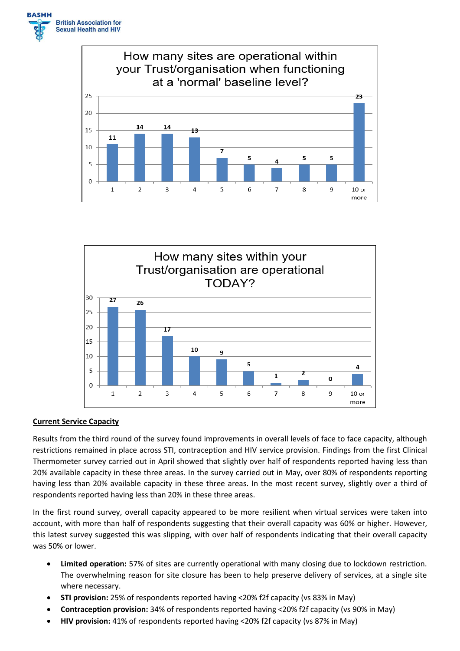





#### **Current Service Capacity**

Results from the third round of the survey found improvements in overall levels of face to face capacity, although restrictions remained in place across STI, contraception and HIV service provision. Findings from the first Clinical Thermometer survey carried out in April showed that slightly over half of respondents reported having less than 20% available capacity in these three areas. In the survey carried out in May, over 80% of respondents reporting having less than 20% available capacity in these three areas. In the most recent survey, slightly over a third of respondents reported having less than 20% in these three areas.

In the first round survey, overall capacity appeared to be more resilient when virtual services were taken into account, with more than half of respondents suggesting that their overall capacity was 60% or higher. However, this latest survey suggested this was slipping, with over half of respondents indicating that their overall capacity was 50% or lower.

- **Limited operation:** 57% of sites are currently operational with many closing due to lockdown restriction. The overwhelming reason for site closure has been to help preserve delivery of services, at a single site where necessary.
- **STI provision:** 25% of respondents reported having <20% f2f capacity (vs 83% in May)
- **Contraception provision:** 34% of respondents reported having <20% f2f capacity (vs 90% in May)
- **HIV provision:** 41% of respondents reported having <20% f2f capacity (vs 87% in May)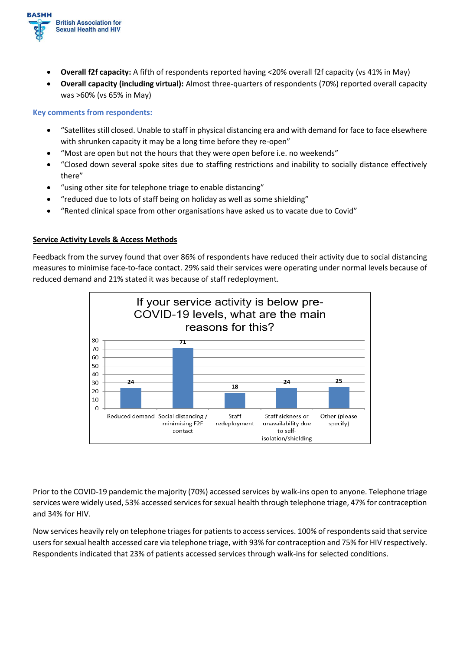

- **Overall f2f capacity:** A fifth of respondents reported having <20% overall f2f capacity (vs 41% in May)
- **Overall capacity (including virtual):** Almost three-quarters of respondents (70%) reported overall capacity was >60% (vs 65% in May)

### **Key comments from respondents:**

- "Satellites still closed. Unable to staff in physical distancing era and with demand for face to face elsewhere with shrunken capacity it may be a long time before they re-open"
- "Most are open but not the hours that they were open before i.e. no weekends"
- "Closed down several spoke sites due to staffing restrictions and inability to socially distance effectively there"
- "using other site for telephone triage to enable distancing"
- "reduced due to lots of staff being on holiday as well as some shielding"
- "Rented clinical space from other organisations have asked us to vacate due to Covid"

# **Service Activity Levels & Access Methods**

Feedback from the survey found that over 86% of respondents have reduced their activity due to social distancing measures to minimise face-to-face contact. 29% said their services were operating under normal levels because of reduced demand and 21% stated it was because of staff redeployment.



Prior to the COVID-19 pandemic the majority (70%) accessed services by walk-ins open to anyone. Telephone triage services were widely used, 53% accessed services for sexual health through telephone triage, 47% for contraception and 34% for HIV.

Now services heavily rely on telephone triages for patients to access services. 100% of respondents said thatservice usersfor sexual health accessed care via telephone triage, with 93% for contraception and 75% for HIV respectively. Respondents indicated that 23% of patients accessed services through walk-ins for selected conditions.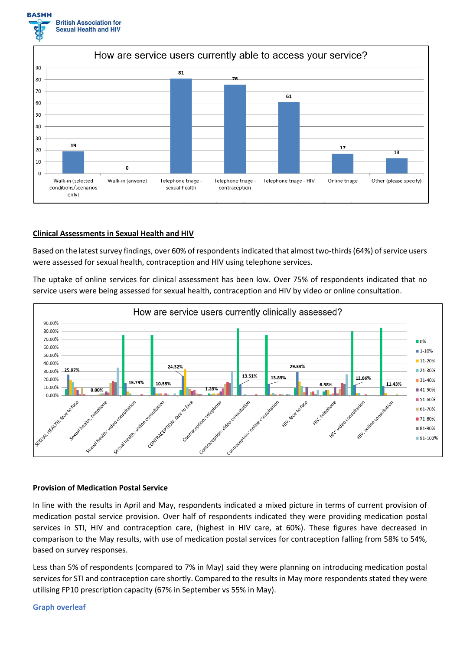



#### **Clinical Assessments in Sexual Health and HIV**

Based on the latest survey findings, over 60% of respondents indicated that almost two-thirds (64%) of service users were assessed for sexual health, contraception and HIV using telephone services.

The uptake of online services for clinical assessment has been low. Over 75% of respondents indicated that no service users were being assessed for sexual health, contraception and HIV by video or online consultation.



#### **Provision of Medication Postal Service**

In line with the results in April and May, respondents indicated a mixed picture in terms of current provision of medication postal service provision. Over half of respondents indicated they were providing medication postal services in STI, HIV and contraception care, (highest in HIV care, at 60%). These figures have decreased in comparison to the May results, with use of medication postal services for contraception falling from 58% to 54%, based on survey responses.

Less than 5% of respondents (compared to 7% in May) said they were planning on introducing medication postal services for STI and contraception care shortly. Compared to the results in May more respondents stated they were utilising FP10 prescription capacity (67% in September vs 55% in May).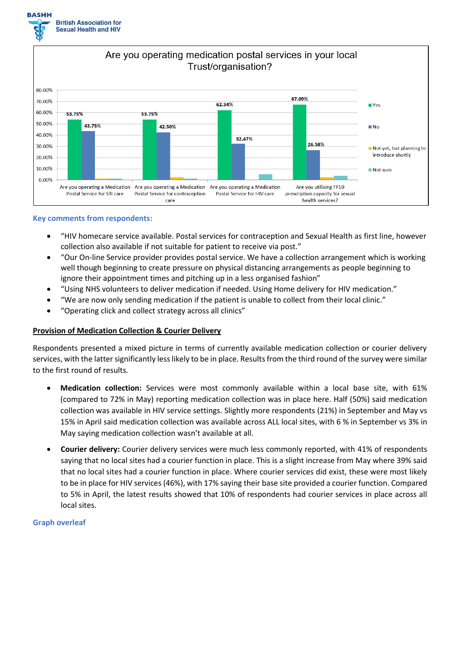



#### **Key comments from respondents:**

- "HIV homecare service available. Postal services for contraception and Sexual Health as first line, however collection also available if not suitable for patient to receive via post."
- "Our On-line Service provider provides postal service. We have a collection arrangement which is working well though beginning to create pressure on physical distancing arrangements as people beginning to ignore their appointment times and pitching up in a less organised fashion"
- "Using NHS volunteers to deliver medication if needed. Using Home delivery for HIV medication."
- "We are now only sending medication if the patient is unable to collect from their local clinic."
- "Operating click and collect strategy across all clinics"

# **Provision of Medication Collection & Courier Delivery**

Respondents presented a mixed picture in terms of currently available medication collection or courier delivery services, with the latter significantly less likely to be in place. Results from the third round of the survey were similar to the first round of results.

- **Medication collection:** Services were most commonly available within a local base site, with 61% (compared to 72% in May) reporting medication collection was in place here. Half (50%) said medication collection was available in HIV service settings. Slightly more respondents (21%) in September and May vs 15% in April said medication collection was available across ALL local sites, with 6 % in September vs 3% in May saying medication collection wasn't available at all.
- **Courier delivery:** Courier delivery services were much less commonly reported, with 41% of respondents saying that no local sites had a courier function in place. This is a slight increase from May where 39% said that no local sites had a courier function in place. Where courier services did exist, these were most likely to be in place for HIV services (46%), with 17% saying their base site provided a courier function. Compared to 5% in April, the latest results showed that 10% of respondents had courier services in place across all local sites.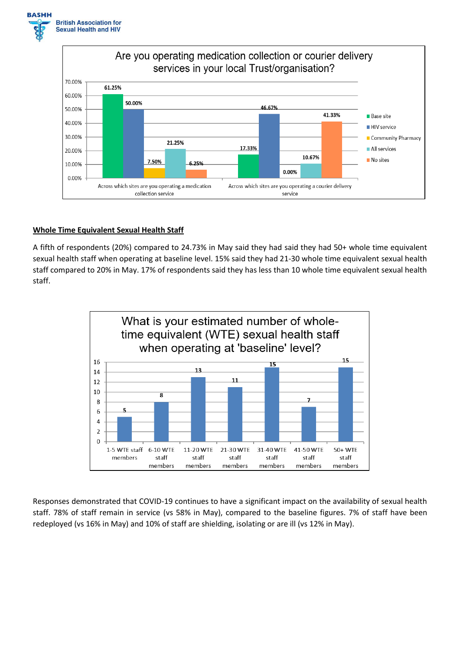



### **Whole Time Equivalent Sexual Health Staff**

A fifth of respondents (20%) compared to 24.73% in May said they had said they had 50+ whole time equivalent sexual health staff when operating at baseline level. 15% said they had 21-30 whole time equivalent sexual health staff compared to 20% in May. 17% of respondents said they has less than 10 whole time equivalent sexual health staff.



Responses demonstrated that COVID-19 continues to have a significant impact on the availability of sexual health staff. 78% of staff remain in service (vs 58% in May), compared to the baseline figures. 7% of staff have been redeployed (vs 16% in May) and 10% of staff are shielding, isolating or are ill (vs 12% in May).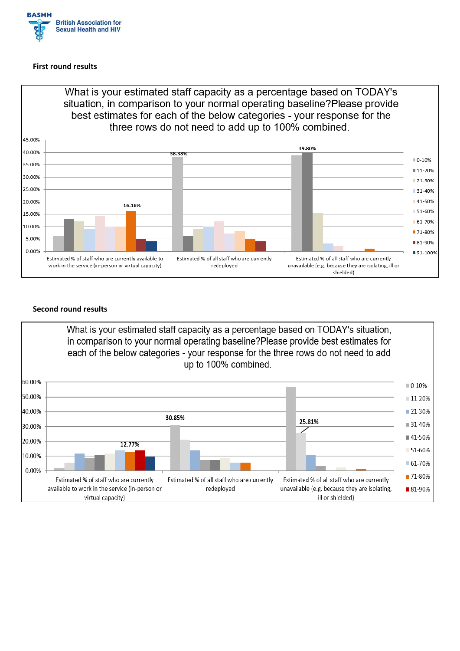

#### **First round results**



# **Second round results**

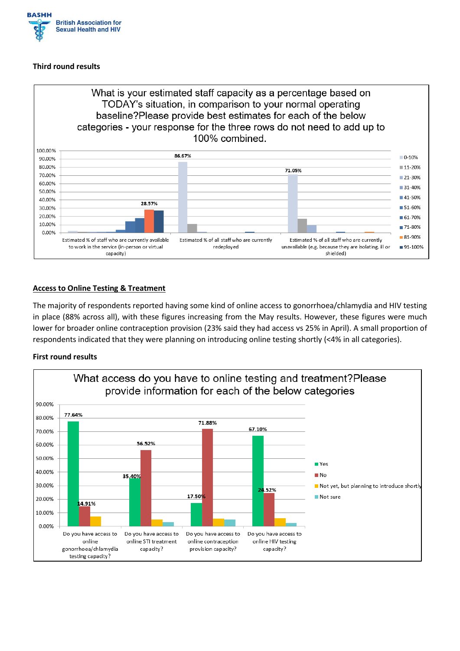

### **Third round results**



# **Access to Online Testing & Treatment**

The majority of respondents reported having some kind of online access to gonorrhoea/chlamydia and HIV testing in place (88% across all), with these figures increasing from the May results. However, these figures were much lower for broader online contraception provision (23% said they had access vs 25% in April). A small proportion of respondents indicated that they were planning on introducing online testing shortly (<4% in all categories).

#### **First round results**

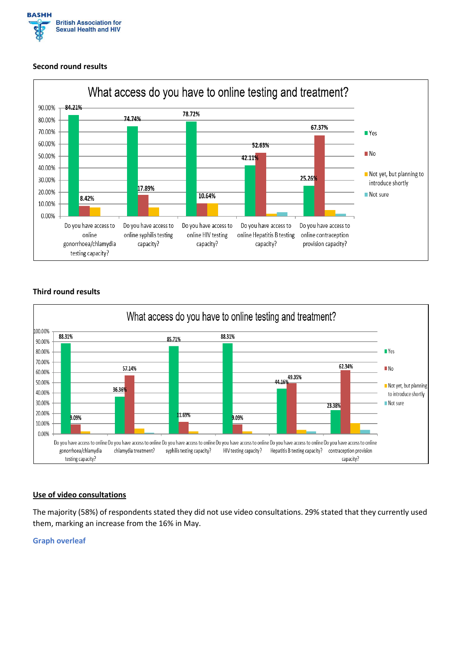

### **Second round results**



# **Third round results**



# **Use of video consultations**

The majority (58%) of respondents stated they did not use video consultations. 29% stated that they currently used them, marking an increase from the 16% in May.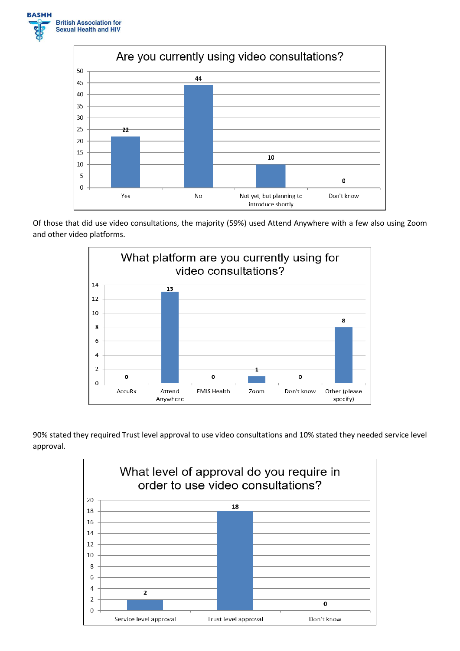



Of those that did use video consultations, the majority (59%) used Attend Anywhere with a few also using Zoom and other video platforms.



90% stated they required Trust level approval to use video consultations and 10% stated they needed service level approval.

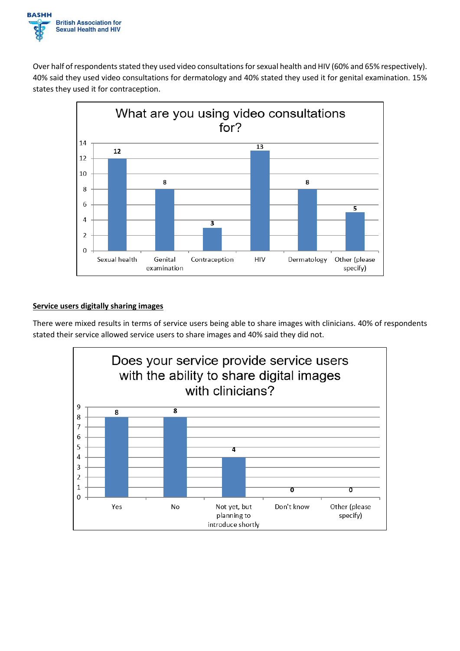

Over half of respondents stated they used video consultations for sexual health and HIV (60% and 65% respectively). 40% said they used video consultations for dermatology and 40% stated they used it for genital examination. 15% states they used it for contraception.



# **Service users digitally sharing images**

There were mixed results in terms of service users being able to share images with clinicians. 40% of respondents stated their service allowed service users to share images and 40% said they did not.

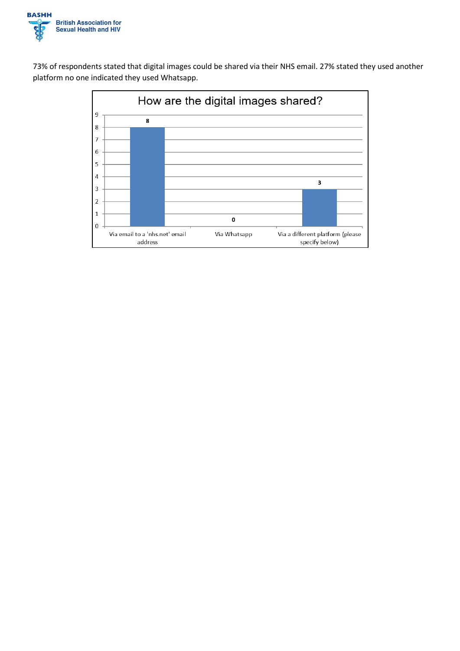

73% of respondents stated that digital images could be shared via their NHS email. 27% stated they used another platform no one indicated they used Whatsapp.

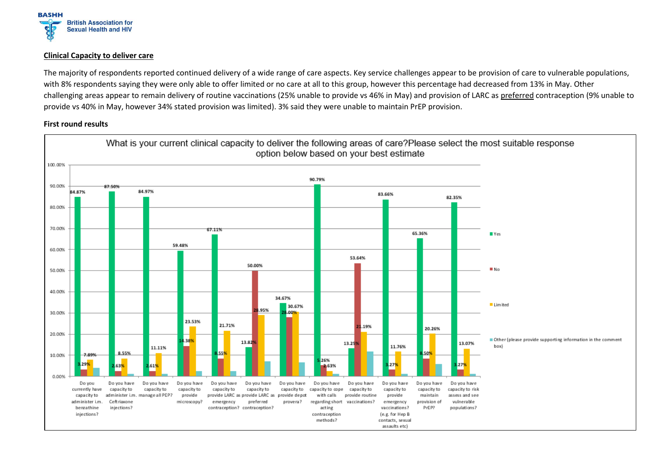

#### **Clinical Capacity to deliver care**

The majority of respondents reported continued delivery of a wide range of care aspects. Key service challenges appear to be provision of care to vulnerable populations, with 8% respondents saying they were only able to offer limited or no care at all to this group, however this percentage had decreased from 13% in May. Other challenging areas appear to remain delivery of routine vaccinations (25% unable to provide vs 46% in May) and provision of LARC as preferred contraception (9% unable to provide vs 40% in May, however 34% stated provision was limited). 3% said they were unable to maintain PrEP provision.

#### **First round results**

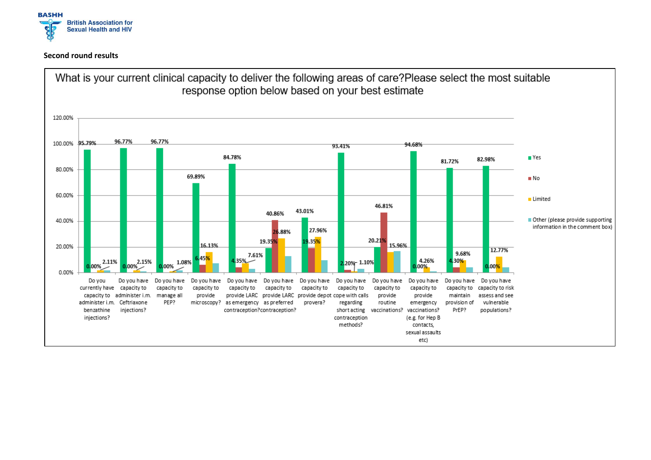

#### **Second round results**